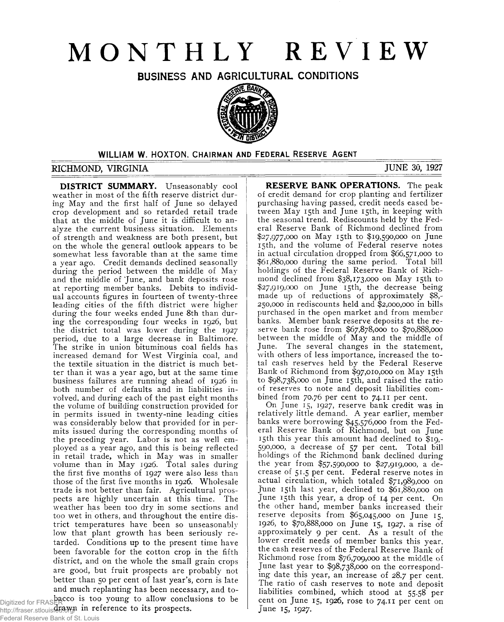# **MONTHLY REVIEW**

BUSINESS AND AGRICULTURAL CONDITIONS



#### WILLIAM W. HOXTON. CHAIRMAN AND FEDERAL RESERVE AGENT

## RICHMOND, VIRGINIA JUNE 30, 1927

**DISTRICT SUMMARY.** Unseasonably cool weather in most of the fifth reserve district during May and the first half of June so delayed crop development and so retarded retail trade that at the middle of June it is difficult to analyze the current business situation. Elements of strength and weakness are both present, but on the whole the general outlook appears to be somewhat less favorable than at the same time a year ago. Credit demands declined seasonally during the period between the middle of May and the middle of 'June, and bank deposits rose at reporting member banks. Debits to individual accounts figures in fourteen of twenty-three leading cities of the fifth district were higher during the four weeks ended June 8th than during the corresponding four weeks in 1926, but the district total was lower during the 1927 period, due to a large decrease in Baltimore. The strike in union bituminous coal fields has increased demand for West Virginia coal, and the textile situation in the district is much better than it was a year ago, but at the same time business failures are running ahead of 1926 in both number of defaults and in liabilities involved, and during each of the past eight months the volume of building construction provided for in permits issued in twenty-nine leading cities was considerably below that provided for in permits issued during the corresponding months of the preceding year. Labor is not as well employed as a year ago, and this is being reflected in retail trade, which in May was in smaller volume than in May 1926. Total sales during the first five months of 1927 were also less than those of the first five months in 1926. Wholesale trade is not better than fair. Agricultural prospects are highly uncertain at this time. The weather has been too dry in some sections and too wet in others, and throughout the entire district temperatures have been so unseasonably low that plant growth has been seriously retarded. Conditions up to the present time have been favorable for the cotton crop in the fifth district, and on the whole the small grain crops are good, but fruit prospects are probably not better than 50 per cent of last year's, corn is late and much replanting has been necessary, and to

Digitized for FRASER  $\sim$  15 too young to allow conclusions to be http://fraser.stlouisfetd.org/ in reference to its prospects.

### Federal Reserve Bank of St. Louis

**RESERVE BANK OPERATIONS.** The peak of credit demand for crop planting and fertilizer purchasing having passed, credit needs eased between May 15th and June 15th, in keeping with the seasonal trend. Rediscounts held by the Federal Reserve Bank of Richmond declined from \$27,977,000 on May 15th to \$19,590,000 on June 15th, and the volume of Federal reserve notes in actual circulation dropped from \$66,571,000 to \$61,880,000 during the same period. Total bill holdings of the Federal Reserve Bank of Richmond declined from \$38,173,000 on May 15th to \$27,919,000 on June 15th, the decrease being made up of reductions of approximately \$8,- 250,000 in rediscounts held and \$2,000,000 in bills purchased in the open market and from member banks. Member bank reserve deposits at the reserve bank rose from \$67,878,000 to \$70,888,000 between the middle of May and the middle of June. The several changes in the statement, with others of less importance, increased the to tal cash reserves held by the Federal Reserve Bank of Richmond from \$97,010,000 on May 15th to \$98,738,000 on June 15th, and raised the ratio of reserves to note and deposit liabilities combined from 70.76 per cent to 74.11 per cent.

On June 15, 1927, reserve bank credit was in relatively little demand. A year earlier, member banks were borrowing \$45,576,000 from the Federal Reserve Bank of Richmond, but on June 15th this year this amount had declined to \$19,- 590,000, a decrease of 57 per cent. Total bill holdings of the Richmond bank declined during the year from \$57,590,000 to \$27,919,000, a decrease of 51.5 per cent. Federal reserve notes in actual circulation, which totaled \$71,989,000 on June 15th last year, declined to \$61,880,000 on June 15th this year, a drop of 14 per cent. On the other hand, member banks increased their reserve deposits from \$65,045,000 on June 15, 1926, to \$70,888,000 on June 15, 1927, a rise of approximately 9 per cent. As a result of the lower credit needs of member banks this year, the cash reserves of the Federal Reserve Bank of Richmond rose from \$76,709,000 at the middle of June last year to \$98,738,000 on the corresponding date this year, an increase of 28.7 per cent. The ratio of cash reserves to note and deposit liabilities combined, which stood at 55.58 per cent on June 15, 1926, rose to 74.11 per cent on June 15, 1927.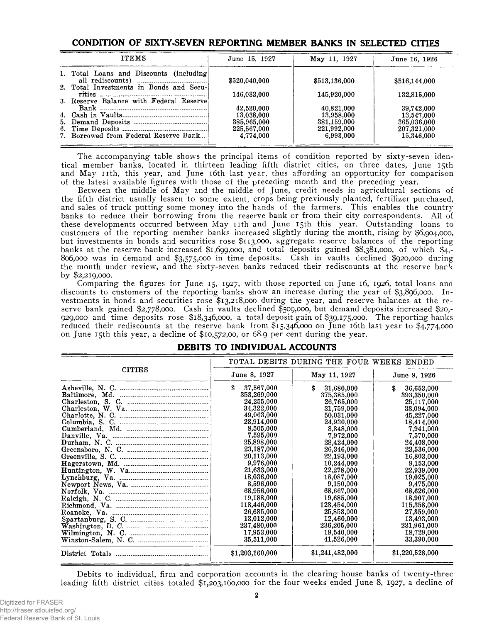## **CONDITION OF SIXTY-SEVEN REPORTING MEMBER BANKS IN SELECTED CITIES**

| <b>ITEMS</b>                             | June 15, 1927 | May 11, 1927  | June 16, 1926 |  |
|------------------------------------------|---------------|---------------|---------------|--|
| 1. Total Loans and Discounts (including) | \$520,040,000 | \$513,136,000 | \$516,144,000 |  |
| 2. Total Investments in Bonds and Secu-  | 146,033,000   | 145,920,000   | 132,815,000   |  |
| 3. Reserve Balance with Federal Reservel |               |               |               |  |
|                                          | 42,520,000    | 40,821,000    | 39,742,000    |  |
|                                          | 13,038,000    | 13,958,000    | 13,547,000    |  |
|                                          | 385,965,000   | 381,159,000   | 365,036,000   |  |
|                                          | 225,567,000   | 221,992,000   | 207,321,000   |  |
| 7. Borrowed from Federal Reserve Bank    | 4,774,000     | 6.993.000     | 15,346,000    |  |

The accompanying table shows the principal items of condition reported by sixty-seven identical member banks, located in thirteen leading fifth district cities, on three dates, June 15th and May 11th, this year, and June 16th last year, thus affording an opportunity for comparison of the latest available figures with those of the preceding month and the preceding year.

Between the middle of May and the middle of June, credit needs in agricultural sections of the fifth district usually lessen to some extent, crops being previously planted, fertilizer purchased, and sales of truck putting some money into the hands of the farmers. This enables the country banks to reduce their borrowing from the reserve bank or from their city correspondents. All of these developments occurred between May 11th and June 15th this year. Outstanding loans to customers of the reporting member banks increased slightly during the month, rising by \$6,904,000, but investments in bonds and securities rose \$113,000, aggregate reserve balances of the reporting banks at the reserve bank increased \$1,699,000, and total deposits gained \$8,381,000, of which \$4,-806.000 was in demand and \$3,575,000 in time deposits. Cash in vaults declined \$920,000 during the month under review, and the sixty-seven banks reduced their rediscounts at the reserve bar $\bar{k}$ by \$2,219,000.

Comparing the figures for June 15, 1927, with those reported on June 16, 1926, total loans ana discounts to customers of the reporting banks show an increase during the year of \$3,896,000. Investments in bonds and securities rose \$13,218,000 during the year, and reserve balances at the reserve bank gained \$2,778,000. Cash in vaults declined \$509,000, but demand deposits increased \$20,- 929.000 and time deposits rose \$18,346,000, a total deposit gain of \$39,175,000. The reporting banks reduced their rediscounts at the reserve bank from \$15,346,000 on June 16th last year to \$4,774,000 on June 15th this year, a decline of \$10,572,00, or 68.9 per cent during the year.

|               | TOTAL DEBITS DURING THE FOUR WEEKS ENDED |                  |                  |  |  |
|---------------|------------------------------------------|------------------|------------------|--|--|
| <b>CITIES</b> | June 8, 1927                             | May 11, 1927     | June 9, 1926     |  |  |
|               | \$<br>37,567,000                         | \$<br>31,680,000 | \$<br>36,653,000 |  |  |
|               | 353,269,000                              | 375,385,000      | 393,350,000      |  |  |
|               | 24,255,000                               | 26,765,000       | 25,117,000       |  |  |
|               | 34,322,000                               | 31,759,000       | 33,094,000       |  |  |
|               | 49,063,000                               | 50,031,000       | 45,227,000       |  |  |
|               | 23,914,000                               | 24,930,000       | 18,414,000       |  |  |
|               | 8,505,000                                | 8,848,000        | 7,941,000        |  |  |
|               | 7,595,000                                | 7,972,000        | 7,570,000        |  |  |
|               | 25,898,000                               | 28,424,000       | 24,408,000       |  |  |
|               | 23,187,000                               | 26,346,000       | 23,536,000       |  |  |
|               | 20,113,000                               | 22,193,000       | 16,803,000       |  |  |
|               | 9,976,000                                | 10,244,000       | 9,153,000        |  |  |
|               | 21,633,000                               | 22,278,000       | 22,939,000       |  |  |
|               | 18,036,000                               | 18,087,000       | 19,025,000       |  |  |
|               | 8,596,000                                | 9,150,000        | 9,475,000        |  |  |
|               | 68,956,000                               | 68,667,000       | 68,626,000       |  |  |
|               | 19,188,000                               | 19,685,000       | 18,907,000       |  |  |
|               | 118,446,000                              | 123,454,000      | 115,358,000      |  |  |
|               | 26,685,000                               | 25,853,000       | 27,359,000       |  |  |
|               | 13,012,000                               | 12,460,000       | 13,493,000       |  |  |
|               | 237,480,000                              | 236,205,000      | 231,961,000      |  |  |
|               | 17.953,000                               | 19,540,000       | 18,729,000       |  |  |
|               | 35,511,000                               | 41.526,000       | 33,390,000       |  |  |
|               | \$1,203,160,000                          | \$1,241,482,000  | \$1,220,528,000  |  |  |

#### **DEBITS TO INDIVIDUAL ACCOUNTS**

Debits to individual, firm and corporation accounts in the clearing house banks of twenty-three leading fifth district cities totaled \$1,203,160,000 for the four weeks ended June 8, 1927, a decline of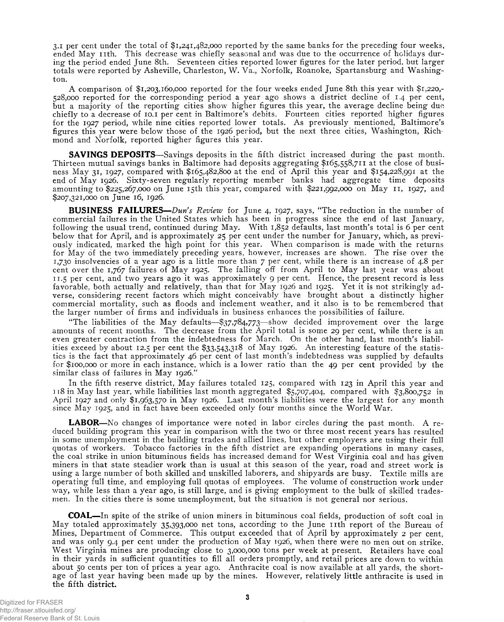3-i per cent under the total of \$1,241,482,000 reported by the same banks for the preceding four weeks, ended May 11th. This decrease was chiefly seasonal and was due to the occurrence of holidays during the period ended June 8th. Seventeen cities reported lower figures for the later period, but larger totals were reported by Asheville, Charleston, W. Va., Norfolk, Roanoke, Spartansburg and Washington.

A comparison of \$1,203,160,000 reported for the four weeks ended June 8th this year with \$1,220,- 528,000 reported for the corresponding period a year ago shows a district decline of 1.4 per cent, but a majority of the reporting cities show higher figures this year, the average decline being due chiefly to a decrease of 10.1 per cent in Baltimore's debits. Fourteen cities reported higher figures for the 1927 period, while nine cities reported lower totals. As previously mentioned, Baltimore's figures this year were below those of the 1926 period, but the next three cities, Washington, Richmond and Norfolk, reported higher figures this year.

**SAVINGS DEPOSITS**—Savings deposits in the fifth district increased during the past month. Thirteen mutual savings banks in Baltimore had deposits aggregating \$165,558,711 at the close of business May 31, 1927, compared with \$165,482,800 at the end of April this year and \$154,228,991 at the end of May 1926. Sixty-seven regularly reporting member banks had aggregate time deposits amounting to \$225,267,000 on June 15th this year, compared with \$221,992,000 on May 11, 1927, and \$207,321,000 on June 16, 1926.

**BUSINESS FAILURES**—*Dun's Review* for June 4, 1927, says, "The reduction in the number of commercial failures in the United States which has been in progress since the end of last January, following the usual trend, continued during May. With 1,852 defaults, last month's total is 6 per cent below that for April, and is approximately 25 per cent under the number for January, which, as previously indicated, marked the high point for this year. W hen comparison is made with the returns for May of the two immediately preceding years, however, increases are shown. The rise over the I,730 insolvencies of a year ago is a little more than 7 per cent, while there is an increase of 4.8 per cent over the 1,767 failures of May 1925. The falling off from April to May last year was about II.5 per cent, and two years ago it was approxim ately 9 per cent. Hence, the present record is less favorable, both actually and relatively, than that for May 1926 and 1925. Yet it is not strikingly adverse, considering recent factors which might conceivably have brought about a distinctly higher commercial m ortality, such as floods and inclement weather, and it also is to be remembered that the larger number of firms and individuals in business enhances the possibilities of failure.

"The liabilities of the May defaults-\$37,784,773-show decided improvement over the large amounts of recent months. The decrease from the April total is some 29 per cent, while there is an even greater contraction from the indebtedness for March. On the other hand, last month's liabilities exceed by about 12.5 per cent the  $\S$ 3.543,318 of May 1926. An interesting feature of the statistics is the fact that approximately 46 per cent of last month's indebtedness was supplied by defaults for \$100,000 or more in each instance, which is a lower ratio than the 49 per cent provided by the similar class of failures in May 1926."

In the fifth reserve district, May failures totaled  $125$ , compared with  $123$  in April this year and 118 in May last year, while liabilities last month aggregated \$5,707,404, compared with \$3,800,752 in April 1927 and only  $$1,963,570$  in May 1926. Last month's liabilities were the largest for any month since May 1925, and in fact have been exceeded only four months since the World War.

**LABOR**—No changes of importance were noted in labor circles during the past month. A reduced building program this year in comparison with the two or three most recent years has resulted in some unemployment in the building trades and allied lines, but other employers are using their full quotas of workers. Tobacco factories in the fifth district are expanding operations in many cases, the coal strike in union bituminous fields has increased demand for W est V irginia coal and has given miners in that state steadier work than is usual at this season of the year, road and street work is using a large number of both skilled and unskilled laborers, and shipyards are busy. Textile mills are operating full time, and employing full quotas of employees. The volume of construction work under way, while less than a year ago, is still large, and is giving employment to the bulk of skilled tradesmen. In the cities there is some unemployment, but the situation is not general nor serious.

**COAL**— In spite of the strike of union miners in bituminous coal fields, production of soft coal in May totaled approximately 35,393,000 net tons, according to the June 11th report of the Bureau of Mines, Department of Commerce. This output exceeded that of April by approximately 2 per cent, and was only 9.4 per cent under the production of May 1926, when there were no men out on strike. West Virginia mines are producing close to 3,000,000 tons per week at present. Retailers have coal in their yards in sufficient quantities to fill all orders promptly, and retail prices are down to within about 50 cents per ton of prices a year ago. Anthracite coal is now available at all yards, the shortage of last year having been made up by the mines. However, relatively little anthracite is used in the fifth district.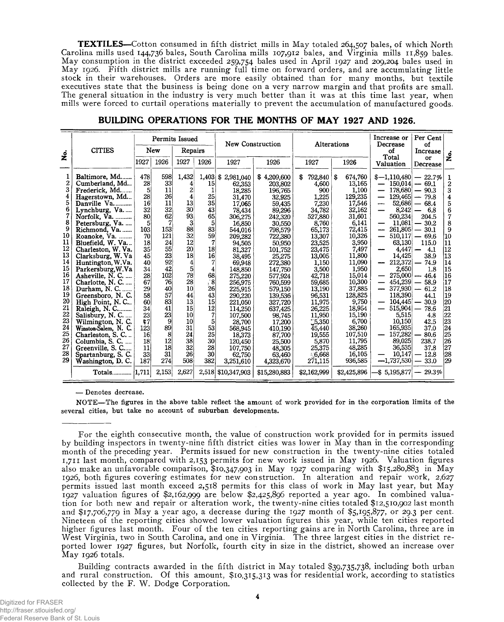**TEXTILES**—Cotton consumed in fifth district mills in May totaled 264,507 bales, of which North Carolina mills used 144,736 bales, South Carolina mills 107,912 bales, and Virginia mills 11,859 bales. M ay consumption in the district exceeded 259,754 bales used in April 1927 and 209,204 bales used in May 1926. Fifth district mills are running full time on forward orders, and are accumulating little stock in their warehouses. Orders are more easily obtained than for many months, but textile executives state that the business is being done on a very narrow margin and that profits are small. The general situation in the industry is very much better than it was at this time last year, when mills were forced to curtail operations materially to prevent the accumulation of manufactured goods.

|                                                                                                                                        |                                                                                                                                                                                                                                                                                                                                                                                                                                           |                                                                                                                                                      | Permits Issued                                                                                                                                 |                                                                                                                                                                         |                                                                                                                                                                  |                                                                                                                                                                                                                                                             | <b>New Construction</b>                                                                                                                                                                                                                               | Alterations                                                                                                                                                                                                                                   |                                                                                                                                                                                                                                     | Increase or<br>Decrease                                                                                                                                                                                                                                                                                                                               | Per Cent<br>οf                                                                                                                                                                                                                                                 |                                                                                                                                                                              |
|----------------------------------------------------------------------------------------------------------------------------------------|-------------------------------------------------------------------------------------------------------------------------------------------------------------------------------------------------------------------------------------------------------------------------------------------------------------------------------------------------------------------------------------------------------------------------------------------|------------------------------------------------------------------------------------------------------------------------------------------------------|------------------------------------------------------------------------------------------------------------------------------------------------|-------------------------------------------------------------------------------------------------------------------------------------------------------------------------|------------------------------------------------------------------------------------------------------------------------------------------------------------------|-------------------------------------------------------------------------------------------------------------------------------------------------------------------------------------------------------------------------------------------------------------|-------------------------------------------------------------------------------------------------------------------------------------------------------------------------------------------------------------------------------------------------------|-----------------------------------------------------------------------------------------------------------------------------------------------------------------------------------------------------------------------------------------------|-------------------------------------------------------------------------------------------------------------------------------------------------------------------------------------------------------------------------------------|-------------------------------------------------------------------------------------------------------------------------------------------------------------------------------------------------------------------------------------------------------------------------------------------------------------------------------------------------------|----------------------------------------------------------------------------------------------------------------------------------------------------------------------------------------------------------------------------------------------------------------|------------------------------------------------------------------------------------------------------------------------------------------------------------------------------|
| <u>ہ</u><br>Z                                                                                                                          | <b>CITIES</b>                                                                                                                                                                                                                                                                                                                                                                                                                             |                                                                                                                                                      | New                                                                                                                                            | Repairs                                                                                                                                                                 |                                                                                                                                                                  |                                                                                                                                                                                                                                                             |                                                                                                                                                                                                                                                       |                                                                                                                                                                                                                                               |                                                                                                                                                                                                                                     | οf                                                                                                                                                                                                                                                                                                                                                    | Increase                                                                                                                                                                                                                                                       | ż                                                                                                                                                                            |
|                                                                                                                                        |                                                                                                                                                                                                                                                                                                                                                                                                                                           | 1927                                                                                                                                                 | 1926                                                                                                                                           | 1927                                                                                                                                                                    | 1926                                                                                                                                                             | 1927                                                                                                                                                                                                                                                        | 1926                                                                                                                                                                                                                                                  | 1927                                                                                                                                                                                                                                          | 1926                                                                                                                                                                                                                                | Total<br><b>Valuation</b>                                                                                                                                                                                                                                                                                                                             | or<br>Decrease                                                                                                                                                                                                                                                 |                                                                                                                                                                              |
| $\overline{c}$<br>3<br>4<br>5<br>6<br>8<br>9<br>10<br>11<br>12<br>13<br>14<br>15<br>16<br>17<br>18<br>19<br>20<br>21<br>22<br>23<br>24 | Baltimore, Md<br>Cumberland, Md<br>Frederick, Md<br>Hagerstown, Md<br>Danville Va<br>Lynchburg, Va<br>Norfolk. Va.<br>Petersburg, Va.<br>Richmond, Va.<br>Roanoke, Va.<br>Bluefield, W. Va<br>Charleston, W. Va.<br>Clarksburg, W. Va<br>Huntington, W.Va.<br>Parkersburg, W.Va<br>Asheville, N. C.<br>Charlotte, N. C.<br>Durham, N. C.<br>Greensboro, N.C.<br>High Point, N.C<br>Raleigh, N. C<br>Salisbury, N. C.<br>Wilmington, N. C. | 478<br>28<br>5<br>28<br>16<br>32<br>80<br>5<br>103<br>70<br>18<br>35 <sub>2</sub><br>45<br>40<br>34<br>28<br>67<br>29<br>58<br>60<br>34<br>23<br>\$7 | 598<br>33<br>11<br>26<br>11<br>32<br>62<br>7<br>153<br>121<br>24<br>55<br>23<br>92<br>42<br>102<br>76<br>40<br>57<br>83<br>41<br>23<br>9<br>89 | 1,432<br>4<br>2<br>4<br>13<br>30 <sup>1</sup><br>93<br>$3^{\circ}$<br>88<br>32<br>12<br>20<br>18<br>4<br>5<br>78<br>28<br>10<br>44<br>13<br>15 <sup>1</sup><br>10<br>10 | 15<br>1<br>$25\vert$<br>35 <sub>l</sub><br>43<br>65<br>5 <sup>1</sup><br>83 l<br>59<br>18<br>16<br>4<br>68<br>'8∣<br>26<br>43<br>15 <sup>1</sup><br>12<br>7<br>5 | $1,403$ \$ 2,981,040<br>62,353<br>18,285<br>31,470<br>17,065<br>78.434<br>306,275<br>16,850<br>544,016<br>209,282<br>94,505<br>81,327<br>38,495<br>69,948<br>148,850<br>275,220<br>256,975<br>225,915<br>290,220<br>221,050<br>114,250<br>107,500<br>28,700 | \$4,209,600<br>203,802<br>196,765<br>32,925<br>59,435<br>89,296<br>242,320<br>30,550<br>798,579<br>722,380<br>50,950<br>101.752<br>25,275<br>272,380<br>147,750<br>577,924<br>760,599<br>579,150<br>139,536<br>327,720<br>637,425<br>98,745<br>17,200 | 792,840<br>\$<br>4,600<br>900<br>1.225<br>7.230<br>34,782<br>527,880<br>8,760<br>65,173<br>13,307<br>23,525<br>23,475<br>13,005<br>1.150<br>3,500<br>42,718<br>59,685<br>13,190<br>96,531<br>11,975<br>26,225<br>11,950<br>$\mathbf{L}$ 5,350 | 674.760<br>S<br>13,165<br>1.100<br>129,235<br>17,546<br>32,162<br>31,601<br>6.141<br>72,415<br>10,326<br>3,950<br>7,497<br>11,800<br>11.090<br>1,950<br>15,014<br>10,300<br>37,885<br>128,825<br>9,750<br>18.954<br>15,190<br>6,700 | $$-1.110.480 - 22.7\%$<br>$\overline{\phantom{0}}$<br>$\overline{\phantom{0}}$<br>$\overline{\phantom{0}}$<br>$52,686$ —<br>8,242<br>560,234<br>11,081<br>—<br>261,805<br>$\hspace{0.05cm}$<br>510,117<br>—<br>63,130<br>4,447<br>14,425<br>212,372<br>2,650<br>275,000<br>454,239<br>377,930<br>118.390<br>104,445<br>$515,904$ –<br>5,515<br>10.150 | $150,014 - 69.1$<br>$178,680 - 90.3$<br>$129,465 - 79.8$<br>68.4<br>6.8<br>204.5<br>$-30.2$<br>30.1<br>—<br>$-69.6$<br>115.0<br>4.1<br>38.9<br>74.9<br>1.8<br>$-46.4$<br>58.9<br>$\overline{\phantom{0}}$<br>61.2<br>Ĩ,<br>44.1<br>30.9<br>78.6<br>4.8<br>42.5 | 1<br>$\overline{c}$<br>3<br>4<br>5<br>6<br>7<br>8<br>9<br> 10<br> 11<br>$\begin{array}{c}  12 \13 \end{array}$<br>14<br>15<br>16<br>17<br>18<br> 19<br> 20<br>21<br>22<br>23 |
| 25<br>26<br>27<br>28<br>29                                                                                                             | Winston-Salem, N. C.<br>Charleston, S. C.<br>Columbia, S. C.<br>Greenville, S. C<br>Spartanburg, S. C.<br>Washington, D.C.                                                                                                                                                                                                                                                                                                                | 123<br>16<br>18<br>11<br>33<br>187                                                                                                                   | 8<br>12<br>18<br>31<br>274                                                                                                                     | 31<br>24<br>38<br>32<br>26<br>508                                                                                                                                       | 53<br>25<br>30<br>28<br>30<br>382                                                                                                                                | 568,945<br>18.373<br>120,450<br>107,750<br>62,750<br>3,251,610                                                                                                                                                                                              | 410,190<br>87,700<br>25,500<br>48,305<br>63,460<br>4,323,670                                                                                                                                                                                          | 45,440<br>19,555<br>5,870<br>25,375<br>6,668<br>271,115                                                                                                                                                                                       | 38,260<br>107,510<br>11,795<br>48,285<br>16,105<br>936,585                                                                                                                                                                          | 165,935<br>157,282<br>89,025<br>36,535<br>10.147<br>$-1,737,530$                                                                                                                                                                                                                                                                                      | 37.0<br>80.6<br>238.7<br>37.8<br>12.8<br>33.0                                                                                                                                                                                                                  | 24<br>25<br>26<br>27<br>28<br>29                                                                                                                                             |
|                                                                                                                                        | Totals [1,711]                                                                                                                                                                                                                                                                                                                                                                                                                            |                                                                                                                                                      | 2,153                                                                                                                                          | 2,627                                                                                                                                                                   |                                                                                                                                                                  | 2,518 \$10,347,903                                                                                                                                                                                                                                          | \$15,280,883                                                                                                                                                                                                                                          | \$2,162,999                                                                                                                                                                                                                                   | \$2,425,896                                                                                                                                                                                                                         | \$5,195,877                                                                                                                                                                                                                                                                                                                                           | $-29.3\%$                                                                                                                                                                                                                                                      |                                                                                                                                                                              |

**BUILDING OPERATIONS FOR THE MONTHS OF MAY 1927 AND 1926.**

**— Denotes decrease.**

**NOTE— The figures in the above table reflect the amount of work provided for in the corporation limits of the several cities, but take no account of suburban developments.**

For the eighth consecutive month, the value of construction work provided for in permits issued by building inspectors in twenty-nine fifth district cities was lower in May than in the corresponding month of the preceding year. Permits issued for new construction in the twenty-nine cities totaled 1,711 last month, compared with 2,153 permits for new work issued in May 1926. Valuation figures also make an unfavorable comparison, \$10,347,903 in May 1927 comparing with \$15,280,883 in May 1926, both figures covering estimates for new construction. In alteration and repair work, 2,627 permits issued last month exceed 2,518 permits for this class of work in May last year, but May 1927 valuation figures of \$2,162,999 are below \$2,425,896 reported a year ago. In combined valuation for both new and repair or alteration work, the twenty-nine cities totaled \$12,510,902 last month and  $$17,706,779$  in May a year ago, a decrease during the 1927 month of  $$5,195,877$ , or 29.3 per cent. Nineteen of the reporting cities showed lower valuation figures this year, while ten cities reported higher figures last month. Four of the ten cities reporting gains are in North Carolina, three are in West Virginia, two in South Carolina, and one in Virginia. The three largest cities in the district reported lower 1927 figures, but Norfolk, fourth city in size in the district, showed an increase over May 1926 totals.

Building contracts awarded in the fifth district in May totaled \$39,735,738, including both urban and rural construction. Of this amount, \$10,315,313 was for residential work, according to statistics collected by the F. W. Dodge Corporation.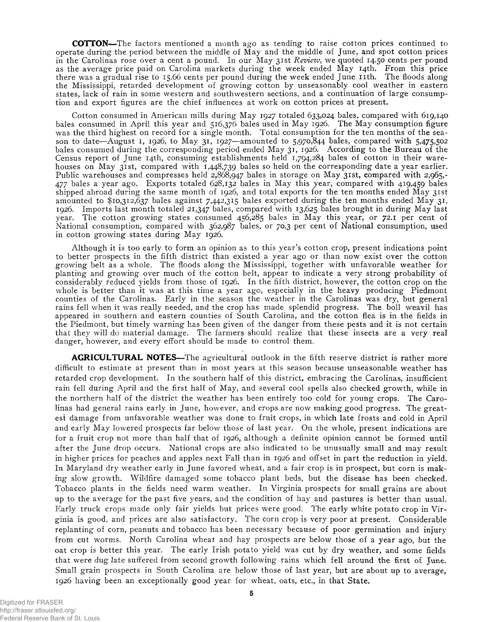**COTTON**— The factors mentioned a month ago as tending to raise cotton prices continued to operate during the period between the middle of  $\overline{M}$  ay and the middle of June, and spot cotton prices in the Carolinas rose over a cent a pound. In our May 31st *Review*, we quoted 14.50 cents per pound as the average price paid on Carolina markets during the week ended May 14th. From this price there was a gradual rise to 15.66 cents per pound during the week ended June 11th. The floods along the Mississippi, retarded development of growing cotton by unseasonably cool weather in eastern states, lack of rain in some western and southwestern sections, and a continuation of large consumption and export figures are the chief influences at work on cotton prices at present.

Cotton consumed in American mills during May 1927 totaled 633,024 bales, compared with 619,140 bales consumed in April this year and 516,376 bales used in May 1926. The May consumption figure was the third highest on record for a single month. Total consumption for the ten months of the season to date—August 1, 1926, to May 31, 1927—amounted to 5,970,844 bales, compared with 5,475,502 bales consumed during the corresponding period ended May 31, 1926. According to the Bureau of the Census report of June 14th, consuming establishments held 1,794,284 bales of cotton in their warehouses on May 31st, compared with 1,448,739 bales so held on the corresponding date a year earlier. Public warehouses and compresses held 2,868,947 bales in storage on May 31st, compared with 2,965,-477 bales a year ago. Exports totaled 628,132 bales in May this year, compared with 419,459 bales shipped abroad during the same month of 1926, and total exports for the ten months ended May 31st amounted to \$10,312,637 bales against 7,442,315 bales exported during the ten months ended May 31, 1926. Imports last month totaled 21,347 bales, compared with 13,625 bales brought in during May last year. The cotton growing states consumed 456,285 bales in May this year, or 72.1 per cent of National consumption, compared with 362,987 bales, or 70.3 per cent of National consumption, used in cotton growing states during May 1926.

Although it is too early to form an opinion as to this year's cotton crop, present indications point to better prospects in the fifth district than existed a year ago or than now exist over the cotton grow ing belt as a whole. The floods along the Mississippi, together w ith unfavorable weather for planting and grow ing over much of the cotton belt, appear to indicate a very strong probability of considerably reduced yields from those of 1926. In the fifth district, however, the cotton crop on the whole is better than it was at this time a year ago, especially in the heavy producing Piedmont counties of the Carolinas. Early in the season the weather in the Carolinas was dry, but general rains fell when it was really needed, and the crop has made splendid progress. The boll weavil has appeared in southern and eastern counties of South Carolina, and the cotton flea is in the fields in the Piedmont, but timely warning has been given of the danger from these pests and it is not certain that they will do material damage. The farmers should realize that these insects are a very real danger, however, and every effort should be made to control them.

AGRICULTURAL NOTES—The agricultural outlook in the fifth reserve district is rather more difficult to estimate at present than in most years at this season because unseasonable weather has retarded crop development. In the southern half of this district, embracing the Carolinas, insufficient rain fell during April and the first half of May, and several cool spells also checked growth, while in the northern half of the district the weather has been entirely too cold for young crops. The Carolinas had general rains early in June, however, and crops are now making good progress. The greatest damage from unfavorable w eather was done to fruit crops, in which late frosts and cold in April and early May lowered prospects far below those of last year. On the whole, present indications are for a fruit crop not more than half that of 1926, although a definite opinion cannot be formed until after the June drop occurs. National crops are also indicated to be unusually small and may result in higher prices for peaches and apples next Fall than in 1926 and offset in part the reduction in yield. In Maryland dry weather early in June favored wheat, and a fair crop is in prospect, but corn is making slow growth. Wildfire damaged some tobacco plant beds, but the disease has been checked. Tobacco plants in the fields need warm weather. In Virginia prospects for small grains are about up to the average for the past five years, and the condition of hay and pastures is better than usual. Early truck crops made only fair yields but prices were good. The early white potato crop in Virginia is good, and prices are also satisfactory. The corn crop is very poor at present. Considerable replanting of corn, peanuts and tobacco has been necessary because of poor germination and injury from cut worms. North Carolina wheat and hay prospects are below those of a year ago, but the oat crop is better this year. The early Irish potato yield was cut by dry weather, and some fields that were dug late suffered from second grow th following rains which fell around the first of June. Small grain prospects in South Carolina are below those of last year, but are about up to average, 1926 having been an exceptionally good year for wheat, oats, etc., in that State.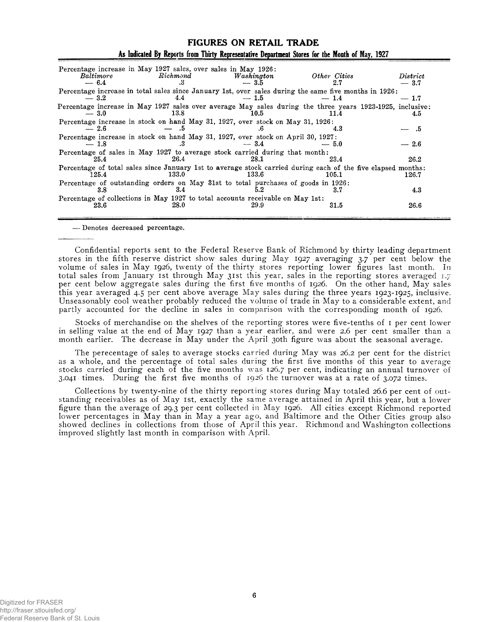| Baltimore<br>$-6.4$ | Percentage increase in May 1927 sales, over sales in May 1926:<br>Richmond<br>.3         | Washington<br>$-3.5$ | Other Cities<br>2.7                                                                                                   | District<br>$-3.7$ |
|---------------------|------------------------------------------------------------------------------------------|----------------------|-----------------------------------------------------------------------------------------------------------------------|--------------------|
| $-3.2$              | 4.4                                                                                      | $-1.5$               | Percentage increase in total sales since January 1st, over sales during the same five months in 1926:<br>$-1.4$       | $-1.7$             |
| $-3.0$              | 13.8                                                                                     | 10.5                 | Percentage increase in May 1927 sales over average May sales during the three years 1923-1925, inclusive:<br>11.4     | 4.5                |
| $-2.6$              | Percentage increase in stock on hand May 31, 1927, over stock on May 31, 1926:<br>. ה    |                      | 4.3                                                                                                                   | .5                 |
| $-1.8$              | Percentage increase in stock on hand May 31, 1927, over stock on April 30, 1927;<br>.3   | $-3.4$               | $-5.0$                                                                                                                | $-2.6$             |
| 25.4                | Percentage of sales in May 1927 to average stock carried during that month:<br>26.4      | 28.1                 | 23.4                                                                                                                  | 26.2               |
| 125.4               | 133.0                                                                                    | $133.6\,$            | Percentage of total sales since January 1st to average stock carried during each of the five elapsed months:<br>105.1 | 126.7              |
| 3.8                 | Percentage of outstanding orders on May 31st to total purchases of goods in 1926:<br>3.4 | 5.2                  | 3.7                                                                                                                   | 4.3                |
| 23.6                | Percentage of collections in May 1927 to total accounts receivable on May 1st:<br>28.0   | 29.9                 | 31.5                                                                                                                  | 26.6               |
|                     |                                                                                          |                      |                                                                                                                       |                    |

# **FIGURES ON RETAIL TRADE** As Indicated By Reports from Thirty Representative Department Stores for the Month of May, 1927

**— Denotes decreased percentage.**

Confidential reports sent to the Federal Reserve Bank of Richmond by thirty leading department stores in the fifth reserve district show sales during May 1927 averaging 3.7 per cent below the volume of sales in May 1926, twenty of the thirty stores reporting lower figures last month. In total sales from January 1st through May 31st this year, sales in the reporting stores averaged 1.7 per cent below aggregate sales during the first five months of 1926. On the other hand, May sales this year averaged 4.5 per cent above average May sales during the three years  $1923-1925$ , inclusive. Unseasonably cool weather probably reduced the volume of trade in May to a considerable extent, and partly accounted for the decline in sales in comparison with the corresponding month of 1926.

Stocks of merchandise on the shelves of the reporting stores were five-tenths of 1 per cent lower in selling value at the end of May 1927 than a year earlier, and were 2.6 per cent smaller than a month earlier. The decrease in May under the April 30th figure was about the seasonal average.

The perecentage of sales to average stocks carried during May was 26.2 per cent for the district as a whole, and the percentage of total sales during the first five months of this year to average stocks carried during each of the five months was 126.7 per cent, indicating an annual turnover of 3.041 times. During the first five months of 1926 the turnover was at a rate of 3.072 times.

Collections by twenty-nine of the thirty reporting stores during May totaled 26.6 per cent of outstanding receivables as of May 1st, exactly the same average attained in April this year, but a lower figure than the average of 29.3 per cent collected in May 1926. All cities except Richmond reported lower percentages in May than in May a year ago, and Baltimore and the Other Cities group also showed declines in collections from those of April this year. Richmond and Washington collections improved slightly last month in comparison with April.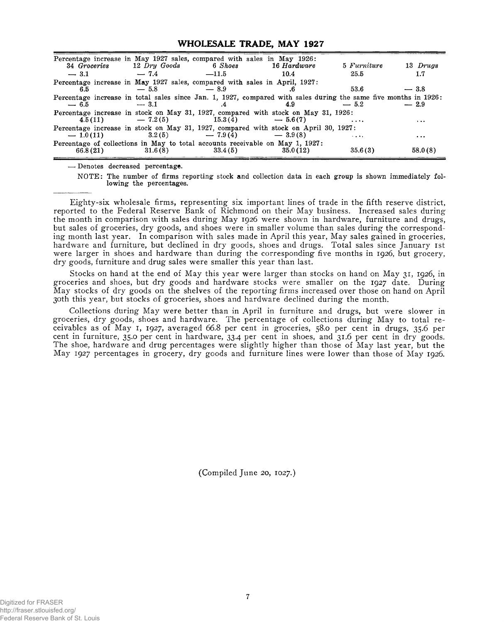#### **WHOLESALE TRADE, MAY 1927**

| Percentage increase in May 1927 sales, compared with sales in May 1926:    | 34 Groceries 12 Dry Goods 6 Shoes       |                    | 16 Hardware                                                                                                            | 5 Furniture | 13 Drugs |
|----------------------------------------------------------------------------|-----------------------------------------|--------------------|------------------------------------------------------------------------------------------------------------------------|-------------|----------|
| $-3.1$                                                                     | $-7.4$                                  | $-11.5$            | 10.4                                                                                                                   | 25.5        | 1.7      |
| Percentage increase in May 1927 sales, compared with sales in April, 1927: |                                         |                    |                                                                                                                        |             |          |
| 6.5                                                                        | $-5.8$                                  | $-8.9$             |                                                                                                                        | 53.6        | $-3.8$   |
| $-6.5$                                                                     | $-3.1$                                  |                    | Percentage increase in total sales since Jan. 1, 1927, compared with sales during the same five months in 1926:<br>4.9 | $-5.2$      | $-2.9$   |
|                                                                            | $4.5(11)$ $-7.2(5)$ $15.3(4)$ $-5.6(7)$ |                    | Percentage increase in stock on May 31, 1927, compared with stock on May 31, 1926:                                     | $\cdots$    | $\cdots$ |
| $-1.0(11)$                                                                 |                                         | $3.2(5)$ $-7.9(4)$ | Percentage increase in stock on May 31, 1927, compared with stock on April 30, 1927:<br>$-3.9(8)$                      | $\sim$      | $\cdot$  |
| 66.8(21)                                                                   | 31.6(8)                                 | 33.4(5)            | Percentage of collections in May to total accounts receivable on May 1, 1927:<br>35.0(12)                              | 35.6(3)     | 58.0(8)  |

**—• Denotes decreased percentage.**

**NOTE: The number of firms reporting stock and collection data in each group is shown immediately following the percentages.**

Eighty-six wholesale firms, representing six important lines of trade in the fifth reserve district, reported to the Federal Reserve Bank of Richmond on their May business. Increased sales during the month in comparison with sales during May 1926 were shown in hardware, furniture and drugs, but sales of groceries, dry goods, and shoes were in smaller volume than sales during the corresponding month last year. In comparison with sales made in April this year, May sales gained in groceries, hardware and furniture, but declined in dry goods, shoes and drugs. Total sales since January 1st were larger in shoes and hardware than during the corresponding five months in 1926, but grocery, dry goods, furniture and drug sales were smaller this year than last.

Stocks on hand at the end of May this year were larger than stocks on hand on May 31, 1926, in groceries and shoes, but dry goods and hardware stocks were smaller on the 1927 date. During May stocks of dry goods on the shelves of the reporting firms increased over those on hand on April 30th this year, but stocks of groceries, shoes and hardware declined during the month.

Collections during May were better than in April in furniture and drugs, but were slower in groceries, dry goods, shoes and hardware. The percentage of collections during May to total receivables as of May 1, 1927, averaged 66.8 per cent in groceries, 58.0 per cent in drugs, 35.6 per cent in furniture, 35.0 per cent in hardware, 33.4 per cent in shoes, and 31.6 per cent in dry goods. The shoe, hardware and drug percentages were slightly higher than those of May last year, but the May 1927 percentages in grocery, dry goods and furniture lines were lower than those of May 1926.

(Compiled June 20, 1027.)